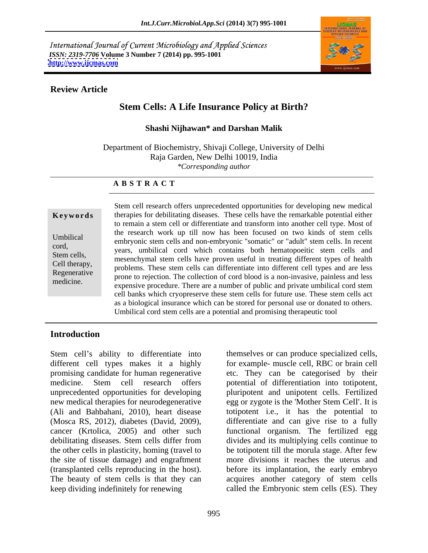International Journal of Current Microbiology and Applied Sciences *ISSN: 2319-7706* **Volume 3 Number 7 (2014) pp. 995-1001 <http://www.ijcmas.com>**



## **Review Article**

# **Stem Cells: A Life Insurance Policy at Birth?**

### **Shashi Nijhawan\* and Darshan Malik**

Department of Biochemistry, Shivaji College, University of Delhi Raja Garden, New Delhi 10019, India *\*Corresponding author* 

### **A B S T R A C T**

**Keywords** therapies for debilitating diseases. These cells have the remarkable potential either Umbilical embryonic stem cells and non-embryonic "somatic" or "adult" stem cells. In recent cord,<br>
years, umbilical cord which contains both hematopoeitic stem cells and Stem cells,<br>
mesenchymal stem cells have proven useful in treating different types of health Cell therapy,<br>
problems. These stem cells can differentiate into different cell types and are less Regenerative procedure. These steam can different the different can types and are resident prone to rejection. The collection of cord blood is a non-invasive, painless and less medicine.<br>
expensive procedure. There are a number of public and private umbilical cord stem Stem cell research offers unprecedented opportunities for developing new medical to remain a stem cell or differentiate and transform into another cell type. Most of the research work up till now has been focused on two kinds of stem cells cell banks which cryopreserve these stem cells for future use. These stem cells act as <sup>a</sup> biological insurance which can be stored for personal use or donated to others. Umbilical cord stem cells are a potential and promising therapeutic tool.

### **Introduction**

Stem cell's ability to differentiate into unprecedented opportunities for developing the site of tissue damage) and engraftment keep dividing indefinitely for renewing called the Embryonic stem cells (ES). They

different cell types makes it a highly for example- muscle cell, RBC or brain cell promising candidate for human regenerative etc. They can be categorised by their medicine. Stem cell research offers potential of differentiation into totipotent, new medical therapies for neurodegenerative egg or zygote is the 'Mother Stem Cell'. It is (Ali and Bahbahani, 2010), heart disease totipotent i.e., it has the potential to (Mosca RS, 2012), diabetes (David, 2009), differentiate and can give rise to a fully cancer (Krtolica, 2005) and other such functional organism.The fertilized egg debilitating diseases. Stem cells differ from divides and its multiplying cells continue to the other cells in plasticity, homing (travel to be totipotent till the morula stage. After few (transplanted cells reproducing in the host). before its implantation, the early embryo The beauty of stem cells is that they can acquires another category of stem cells themselves or can produce specialized cells, pluripotent and unipotent cells. Fertilized more divisions it reaches the uterus and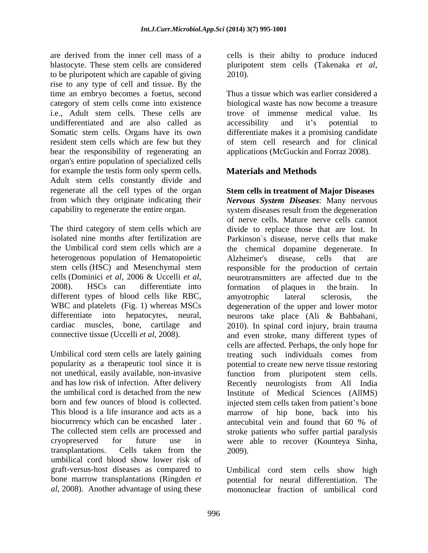are derived from the inner cell mass of a cells is their abilty to produce induced blastocyte. These stem cells are considered bluripotent stem cells (Takenaka et al. to be pluripotent which are capable of giving rise to any type of cell and tissue. By the time an embryo becomes a foetus, second category of stem cells come into existence biological waste has now become a treasure i.e., Adult stem cells. These cells are trove of immense medical value. Its undifferentiated and are also called as Somatic stem cells. Organs have its own resident stem cells which are few but they bear the responsibility of regenerating an organ's entire population of specialized cells for example the testis form only sperm cells. Materials and Methods Adult stem cells constantly divide and regenerate all the cell types of the organ

heterogenous population of Hematopoietic Alzheimer's disease, cells that are different types of blood cells like RBC, amyotrophic lateral sclerosis, the

Umbilical cord stem cells are lately gaining treating such individuals comes from umbilical cord blood show lower risk of graft-versus-host diseases as compared to Umbilical cord stem cells show high bone marrow transplantations (Ringden *et*  potential for neural differentiation. The

pluripotent stem cells (Takenaka *et al*, 2010).

Thus a tissue which was earlier considered a accessibility and it's potential to differentiate makes it a promising candidate of stem cell research and for clinical applications (McGuckin and Forraz 2008).

# **Materials and Methods**

from which they originate indicating their *Nervous System Diseases*: Many nervous capability to regenerate the entire organ. system diseases result from the degeneration The third category of stem cells which are divide to replace those that are lost. In isolated nine months after fertilization are Parkinson`s disease, nerve cells that make the Umbilical cord stem cells which are a the chemical dopamine degenerate. In stem cells (HSC) and Mesenchymal stem responsible for the production of certain cells (Dominici *et al*, <sup>2006</sup> & Uccelli *et al*, 2008). HSCs can differentiate into WBC and platelets (Fig. 1) whereas MSCs degeneration of the upper and lower motor differentiate into hepatocytes, neural, neurons take place (Ali & Bahbahani, cardiac muscles, bone, cartilage and 2010). In spinal cord injury, brain trauma connective tissue (Uccelli *et al*, 2008). and even stroke, many different types of popularity as a therapeutic tool since it is potential to create new nerve tissue restoring not unethical, easily available, non-invasive function from pluripotent stem cells. and has low risk of infection. After delivery Recently neurologists from All India the umbilical cord is detached from the new Institute of Medical Sciences (AllMS) born and few ounces of blood is collected. injected stem cells taken from patient's bone This blood is a life insurance and acts as a marrow of hip bone, back into his biocurrency which can be encashed later . antecubital vein and found that 60 % of The collected stem cells are processed and stroke patients who suffer partial paralysis cryopreserved for future use in were able to recover (Kounteya Sinha, transplantations. Cells taken from the **Stem cells in treatment of Major Diseases**  of nerve cells. Mature nerve cells cannot Alzheimer's disease, cells that are neurotransmitters are affected due to the formation of plaques in the brain. In amyotrophic lateral sclerosis, the cells are affected. Perhaps, the only hope for treating such individuals comes from 2009).

*al*, 2008). Another advantage of using these mononuclear fraction of umbilical cord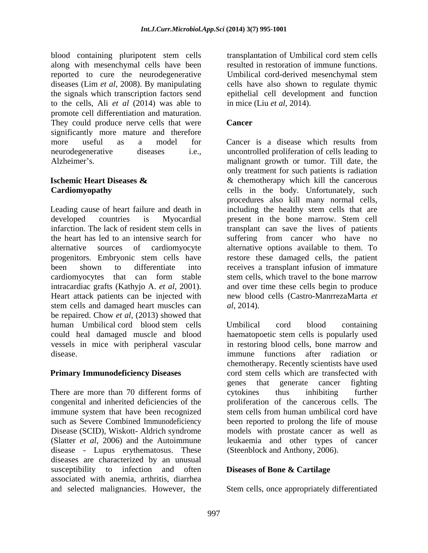blood containing pluripotent stem cells along with mesenchymal cells have been reported to cure the neurodegenerative Umbilical cord-derived mesenchymal stem diseases (Lim *et al*, 2008). By manipulating cells have also shown to regulate thymic the signals which transcription factors send epithelial cell development and function to the cells, Ali *et al* (2014) was able to promote cell differentiation and maturation. They could produce nerve cells that were **Cancer** significantly more mature and therefore more useful as a model for Cancer is a disease which results from

Leading cause of heart failure and death in including the healthy stem cells that are developed countries is Myocardial present in the bone marrow. Stem cell infarction. The lack of resident stem cells in transplant can save the lives of patients the heart has led to an intensive search for suffering from cancer who have no alternative sources of cardiomyocyte alternative options available to them.To progenitors. Embryonic stem cells have restore these damaged cells, the patient been shown to differentiate into receives a transplant infusion of immature cardiomyocytes that can form stable stem cells, which travel to the bone marrow intracardiac grafts (Kathyjo A. *et al*, 2001). Heart attack patients can be injected with new blood cells (Castro-ManrrezaMarta *et*  stem cells and damaged heart muscles can al, 2014). be repaired. Chow *et al*, (2013) showed that vessels in mice with peripheral vascular

There are more than 70 different forms of extokines thus inhibiting further immune system that have been recognized stem cells from human umbilical cord have disease - Lupus erythematosus. These diseases are characterized by an unusual susceptibility to infection and often associated with anemia, arthritis, diarrhea

transplantation of Umbilical cord stem cells resulted in restoration of immune functions. Umbilical cord-derived mesenchymal stem in mice (Liu *et al*, 2014).

## **Cancer**

neurodegenerative diseases i.e., uncontrolled proliferation of cells leading to Alzheimer's. The state of the malignant growth or tumor. Till date, the **Ischemic Heart Diseases &**   $\&$  **&** chemotherapy which kill the cancerous **Cardiomyopathy**  cells in the body. Unfortunately, such Cancer is a disease which results from only treatment for such patients is radiation procedures also kill many normal cells, transplant can save the lives of patients and over time these cells begin to produce *al*, 2014).

human Umbilical cord blood stem cells could heal damaged muscle and blood haematopoetic stem cells is popularly used disease. immune functions after radiation or **Primary Immunodeficiency Diseases** cord stem cells which are transfected with congenital and inherited deficiencies of the proliferation of the cancerous cells. The such as Severe Combined Immunodeficiency been reported to prolong the life of mouse Disease (SCID), Wiskott- Aldrich syndrome models with prostate cancer as well as (Slatter *et al*, 2006) and the Autoimmune leukaemia and other types of cancer Umbilical cord blood containing in restoring blood cells, bone marrow and chemotherapy. Recently scientists have used genes that generate cancer fighting cytokines thus inhibiting further stem cells from human umbilical cord have (Steenblock and Anthony, 2006).

## **Diseases of Bone & Cartilage**

and selected malignancies. However, the Stem cells, once appropriately differentiated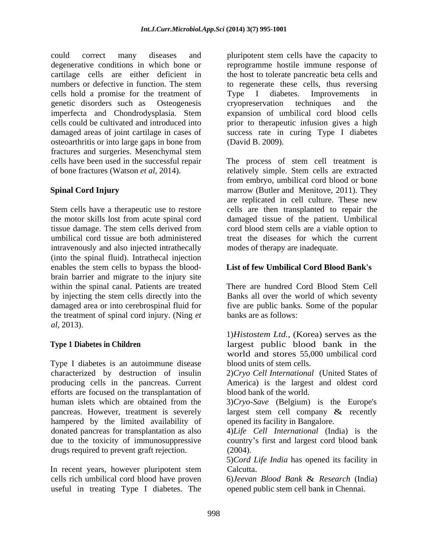could correct many diseases and pluripotent stem cells have the capacity to degenerative conditions in which bone or reprogramme hostile immune response of cartilage cells are either deficient in the host to tolerate pancreatic beta cells and numbers or defective in function. The stem to regenerate these cells, thus reversing cells hold a promise for the treatment of Type I diabetes. Improvements in genetic disorders such as Osteogenesis imperfecta and Chondrodysplasia. Stem expansion of umbilical cord blood cells cells could be cultivated and introduced into prior to therapeutic infusion gives a high damaged areas of joint cartilage in cases of success rate in curing Type I diabetes osteoarthritis or into large gaps in bone from fractures and surgeries. Mesenchymal stem cells have been used in the successful repair The process of stem cell treatment is

tissue damage. The stem cells derived from intravenously and also injected intrathecally (into the spinal fluid). Intrathecal injection enables the stem cells to bypass the blood brain barrier and migrate to the injury site within the spinal canal. Patients are treated There are hundred Cord Blood Stem Cell by injecting the stem cells directly into the Banks all over the world of which seventy damaged area or into cerebrospinal fluid for five are public banks. Some of the popular the treatment of spinal cord injury. (Ning *et al*, 2013).

Type I diabetes is an autoimmune disease characterized by destruction of insulin 2)*Cryo Cell International* (United States of producing cells in the pancreas. Current efforts are focused on the transplantation of human islets which are obtained from the 3)*Cryo-Save* (Belgium) is the Europe's pancreas. However, treatment is severely largest stem cell company & recently hampered by the limited availability of donated pancreas for transplantation as also due to the toxicity of immunosuppressive country's first and largest cord blood bank drugs required to prevent graft rejection. (2004).

In recent years, however pluripotent stem Calcutta. cells rich umbilical cord blood have proven 6)*Jeevan Blood Bank* & *Research* (India) useful in treating Type I diabetes. The

Type I diabetes. Improvements in cryopreservation techniques and the (David B. 2009).

of bone fractures (Watson *et al*, 2014). relatively simple. Stem cells are extracted **Spinal Cord Injury marrow** (Butler and Menitove, 2011). They Stem cells have a therapeutic use to restore cells are then transplanted to repair the the motor skills lost from acute spinal cord damaged tissue of the patient. Umbilical umbilical cord tissue are both administered treat the diseases for which the current from embryo, umbilical cord blood or bone are replicated in cell culture. These new cord blood stem cells are a viable option to modes of therapy are inadequate.

## **List of few Umbilical Cord Blood Bank's**

There are hundred Cord Blood Stem Cell banks are as follows:

**Type 1 Diabetes in Children**  largest public blood bank in the 1)*Histostem Ltd.,* (Korea) serves as the world and stores 55,000 umbilical cord blood units of stem cells.

> America) is the largest and oldest cord blood bank of the world.

> opened its facility in Bangalore.

4)*Life Cell International* (India) is the (2004).

5)*Cord Life India* has opened its facility in Calcutta.

opened public stem cell bank in Chennai.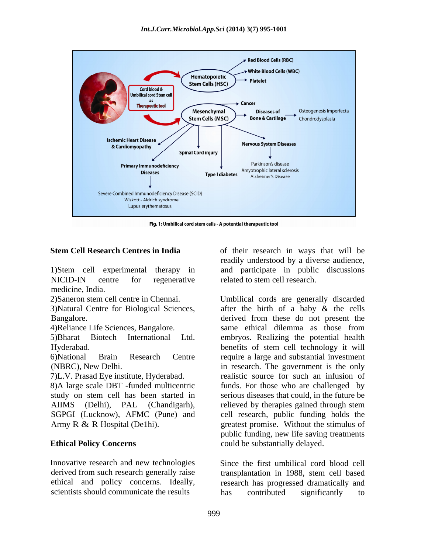

Fig. 1: Umbilical cord stem cells - A potential therapeutic tool

NICID-IN centre for regenerative related to stem cell research. medicine, India.

3)Natural Centre for Biological Sciences,

AIIMS (Delhi), PAL (Chandigarh),

Innovative research and new technologies Since the first umbilical cord blood cell derived from such research generally raise transplantation in 1988, stem cell based scientists should communicate the results has contributed significantly to

**Stem Cell Research Centres in India**  of their research in ways that will be 1)Stem cell experimental therapy in and participate in public discussions readily understood by a diverse audience, related to stem cell research.

2)Saneron stem cell centre in Chennai. Umbilical cords are generally discarded Bangalore. derived from these do not present the 4)Reliance Life Sciences, Bangalore. 5)Bharat Biotech International Ltd. embryos. Realizing the potential health Hyderabad. benefits of stem cell technology it will 6)National Brain Research Centre require a large and substantial investment (NBRC), New Delhi. in research. The government is the only 7)L.V. Prasad Eye institute, Hyderabad. realistic source for such an infusion of 8)A large scale DBT -funded multicentric funds. For those who are challenged by study on stem cell has been started in serious diseases that could, in the future be SGPGI (Lucknow), AFMC (Pune) and cell research, public funding holds the Army R & R Hospital (De1hi). greatest promise. Without the stimulus of **Ethical Policy Concerns**  could be substantially delayed. after the birth of a baby & the cells same ethical dilemma as those from relieved by therapies gained through stem public funding, new life saving treatments

ethical and policy concerns. Ideally, research has progressed dramatically and transplantation in 1988, stem cell based has contributed significantly to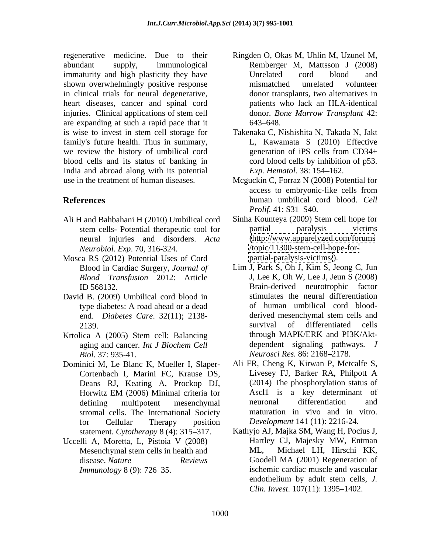regenerative medicine. Due to their immaturity and high plasticity they have **Unrelated** cord blood and shown overwhelmingly positive response mismatched unrelated volunteer in clinical trials for neural degenerative, heart diseases, cancer and spinal cord are expanding at such a rapid pace that it is wise to invest in stem cell storage for Takenaka C, Nishishita N, Takada N, Jakt family's future health. Thus in summary, we review the history of umbilical cord generation of iPS cells from CD34+ blood cells and its status of banking in India and abroad along with its potential Exp. Hematol. 38: 154–162. use in the treatment of human diseases. Mcguckin C, Forraz N (2008) Potential for

- Ali H and Bahbahani H (2010) Umbilical cord neural injuries and disorders. *Acta*
- Mosca RS (2012) Potential Uses of Cord<br>Blood in Cardiac Surgery, *Journal of* Lim J, Park S, Oh J, Kim S, Jeong C, Jun Blood in Cardiac Surgery, *Journal of*
- David B. (2009) Umbilical cord blood in end. *Diabetes Care*. 32(11); 2138-
- *Biol.* 37: 935-41. *Neurosci Res.* 86: 2168–2178.
- Dominici M, Le Blanc K, Mueller I, Slaper- Ali FR, Cheng K, Kirwan P, Metcalfe S, Cortenbach I. Marini FC. Krause DS. Livesey FJ, Barker RA, Philpott A Cortenbach I, Marini FC, Krause DS, Deans RJ, Keating A, Prockop DJ, stromal cells. The International Society for Cellular Therapy position *Development* 141 (11): 2216-24. statement. *Cytotherapy* 8 (4): 315–317.
- Uccelli A, Moretta, L, Pistoia V (2008) Mesenchymal stem cells in health and ML,
- abundant supply, immunological Remberger M, Mattsson J (2008) injuries. Clinical applications of stem cell donor. Bone Marrow Transplant 42: Ringden O, Okas M, Uhlin M, Uzunel M, Unrelated cord blood and mismatched unrelated volunteer donor transplants, two alternatives in patients who lack an HLA-identical donor. *Bone Marrow Transplant* 42: 643–648.
	- L, Kawamata S (2010) Effective generation of iPS cells from CD34+ cord blood cells by inhibition of p53. *Exp. Hematol.* 38: 154–162.
- **References** human umbilical cord blood. *Cell*  access to embryonic-like cells from *Prolif.* 41: S31–S40.
	- stem cells- Potential therapeutic tool for partial paralysis victims *Neurobiol. Exp*. 70, 316-324. </topic/11300-stem-cell-hope-for-> Sinha Kounteya (2009) Stem cell hope for partial paralysis victims [\(http://www.apparelyzed.com/forums](http://www.apparelyzed.com/forums) <partial-paralysis-victims/>).
- *Blood Transfusion* 2012: Article J, Lee K, Oh W, Lee J, Jeun S (2008) ID 568132. Brain-derived neurotrophic factor type diabetes: A road ahead or a dead<br>
end. *Diabetes Care*. 32(11): 2138-<br>
derived mesenchymal stem cells and 2139. 2139. Krtolica A (2005) Stem cell: Balancing through MAPK/ERK and PI3K/Aktaging and cancer. *Int J Biochem Cell* Lim J, Park S, Oh J, Kim S, Jeong C, Jun Brain-derived neurotrophic factor stimulates the neural differentiation of human umbilical cord blood derived mesenchymal stem cells and survival of differentiated cells through MAPK/ERK and PI3K/Akt dependent signaling pathways. *J* 
	- Horwitz EM (2006) Minimal criteria for defining multipotent mesenchymal Ali FR, Cheng K, Kirwan P, Metcalfe S, Livesey FJ, Barker RA, Philpott A (2014) The phosphorylation status of Ascl1 is a key determinant of neuronal differentiation and maturation in vivo and in vitro.
	- disease. *Nature Reviews* Goodell MA (2001) Regeneration of *Immunology* 8 (9): 726–35. ischemic cardiac muscle and vascular Kathyjo AJ, Majka SM, Wang H, Pocius J, Hartley CJ, Majesky MW, Entman Michael LH, Hirschi KK, endothelium by adult stem cells, *J. Clin. Invest.* 107(11): 1395-1402.